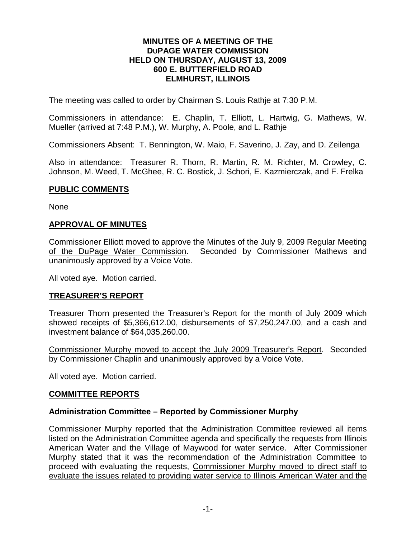### **MINUTES OF A MEETING OF THE DUPAGE WATER COMMISSION HELD ON THURSDAY, AUGUST 13, 2009 600 E. BUTTERFIELD ROAD ELMHURST, ILLINOIS**

The meeting was called to order by Chairman S. Louis Rathje at 7:30 P.M.

Commissioners in attendance: E. Chaplin, T. Elliott, L. Hartwig, G. Mathews, W. Mueller (arrived at 7:48 P.M.), W. Murphy, A. Poole, and L. Rathje

Commissioners Absent: T. Bennington, W. Maio, F. Saverino, J. Zay, and D. Zeilenga

Also in attendance: Treasurer R. Thorn, R. Martin, R. M. Richter, M. Crowley, C. Johnson, M. Weed, T. McGhee, R. C. Bostick, J. Schori, E. Kazmierczak, and F. Frelka

#### **PUBLIC COMMENTS**

None

## **APPROVAL OF MINUTES**

Commissioner Elliott moved to approve the Minutes of the July 9, 2009 Regular Meeting<br>of the DuPage Water Commission. Seconded by Commissioner Mathews and Seconded by Commissioner Mathews and unanimously approved by a Voice Vote.

All voted aye. Motion carried.

## **TREASURER'S REPORT**

Treasurer Thorn presented the Treasurer's Report for the month of July 2009 which showed receipts of \$5,366,612.00, disbursements of \$7,250,247.00, and a cash and investment balance of \$64,035,260.00.

Commissioner Murphy moved to accept the July 2009 Treasurer's Report. Seconded by Commissioner Chaplin and unanimously approved by a Voice Vote.

All voted aye. Motion carried.

## **COMMITTEE REPORTS**

## **Administration Committee – Reported by Commissioner Murphy**

Commissioner Murphy reported that the Administration Committee reviewed all items listed on the Administration Committee agenda and specifically the requests from Illinois American Water and the Village of Maywood for water service. After Commissioner Murphy stated that it was the recommendation of the Administration Committee to proceed with evaluating the requests, Commissioner Murphy moved to direct staff to evaluate the issues related to providing water service to Illinois American Water and the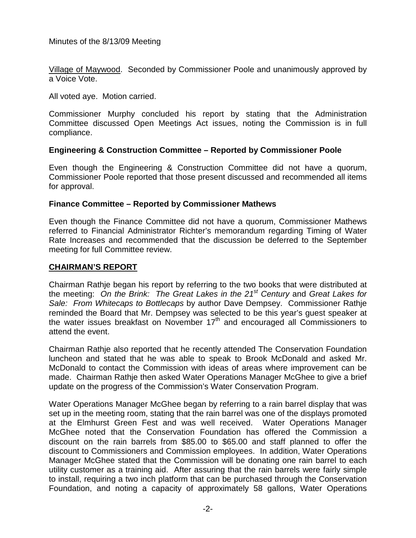Village of Maywood. Seconded by Commissioner Poole and unanimously approved by a Voice Vote.

All voted aye. Motion carried.

Commissioner Murphy concluded his report by stating that the Administration Committee discussed Open Meetings Act issues, noting the Commission is in full compliance.

## **Engineering & Construction Committee – Reported by Commissioner Poole**

Even though the Engineering & Construction Committee did not have a quorum, Commissioner Poole reported that those present discussed and recommended all items for approval.

## **Finance Committee – Reported by Commissioner Mathews**

Even though the Finance Committee did not have a quorum, Commissioner Mathews referred to Financial Administrator Richter's memorandum regarding Timing of Water Rate Increases and recommended that the discussion be deferred to the September meeting for full Committee review.

### **CHAIRMAN'S REPORT**

Chairman Rathje began his report by referring to the two books that were distributed at the meeting: *On the Brink: The Great Lakes in the 21st Century* and *Great Lakes for Sale: From Whitecaps to Bottlecaps* by author Dave Dempsey. Commissioner Rathje reminded the Board that Mr. Dempsey was selected to be this year's guest speaker at the water issues breakfast on November 17<sup>th</sup> and encouraged all Commissioners to attend the event.

Chairman Rathje also reported that he recently attended The Conservation Foundation luncheon and stated that he was able to speak to Brook McDonald and asked Mr. McDonald to contact the Commission with ideas of areas where improvement can be made. Chairman Rathje then asked Water Operations Manager McGhee to give a brief update on the progress of the Commission's Water Conservation Program.

Water Operations Manager McGhee began by referring to a rain barrel display that was set up in the meeting room, stating that the rain barrel was one of the displays promoted at the Elmhurst Green Fest and was well received. Water Operations Manager McGhee noted that the Conservation Foundation has offered the Commission a discount on the rain barrels from \$85.00 to \$65.00 and staff planned to offer the discount to Commissioners and Commission employees. In addition, Water Operations Manager McGhee stated that the Commission will be donating one rain barrel to each utility customer as a training aid. After assuring that the rain barrels were fairly simple to install, requiring a two inch platform that can be purchased through the Conservation Foundation, and noting a capacity of approximately 58 gallons, Water Operations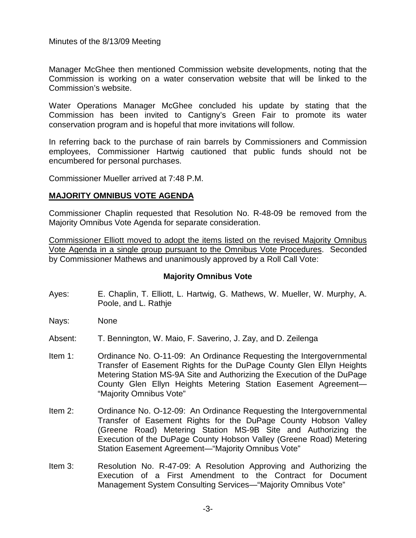Manager McGhee then mentioned Commission website developments, noting that the Commission is working on a water conservation website that will be linked to the Commission's website.

Water Operations Manager McGhee concluded his update by stating that the Commission has been invited to Cantigny's Green Fair to promote its water conservation program and is hopeful that more invitations will follow.

In referring back to the purchase of rain barrels by Commissioners and Commission employees, Commissioner Hartwig cautioned that public funds should not be encumbered for personal purchases.

Commissioner Mueller arrived at 7:48 P.M.

#### **MAJORITY OMNIBUS VOTE AGENDA**

Commissioner Chaplin requested that Resolution No. R-48-09 be removed from the Majority Omnibus Vote Agenda for separate consideration.

Commissioner Elliott moved to adopt the items listed on the revised Majority Omnibus Vote Agenda in a single group pursuant to the Omnibus Vote Procedures. Seconded by Commissioner Mathews and unanimously approved by a Roll Call Vote:

## **Majority Omnibus Vote**

- Ayes: E. Chaplin, T. Elliott, L. Hartwig, G. Mathews, W. Mueller, W. Murphy, A. Poole, and L. Rathje
- Nays: None
- Absent: T. Bennington, W. Maio, F. Saverino, J. Zay, and D. Zeilenga
- Item 1: Ordinance No. O-11-09: An Ordinance Requesting the Intergovernmental Transfer of Easement Rights for the DuPage County Glen Ellyn Heights Metering Station MS-9A Site and Authorizing the Execution of the DuPage County Glen Ellyn Heights Metering Station Easement Agreement— "Majority Omnibus Vote"
- Item 2: Ordinance No. O-12-09: An Ordinance Requesting the Intergovernmental Transfer of Easement Rights for the DuPage County Hobson Valley (Greene Road) Metering Station MS-9B Site and Authorizing the Execution of the DuPage County Hobson Valley (Greene Road) Metering Station Easement Agreement—"Majority Omnibus Vote"
- Item 3: Resolution No. R-47-09: A Resolution Approving and Authorizing the Execution of a First Amendment to the Contract for Document Management System Consulting Services—"Majority Omnibus Vote"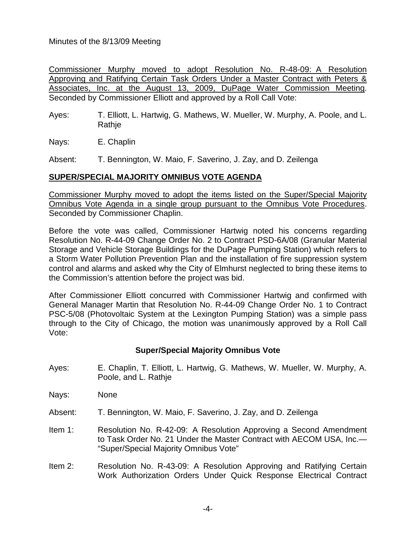Commissioner Murphy moved to adopt Resolution No. R-48-09: A Resolution Approving and Ratifying Certain Task Orders Under a Master Contract with Peters & Associates, Inc. at the August 13, 2009, DuPage Water Commission Meeting. Seconded by Commissioner Elliott and approved by a Roll Call Vote:

Ayes: T. Elliott, L. Hartwig, G. Mathews, W. Mueller, W. Murphy, A. Poole, and L. Rathje

Nays: E. Chaplin

Absent: T. Bennington, W. Maio, F. Saverino, J. Zay, and D. Zeilenga

## **SUPER/SPECIAL MAJORITY OMNIBUS VOTE AGENDA**

Commissioner Murphy moved to adopt the items listed on the Super/Special Majority Omnibus Vote Agenda in a single group pursuant to the Omnibus Vote Procedures. Seconded by Commissioner Chaplin.

Before the vote was called, Commissioner Hartwig noted his concerns regarding Resolution No. R-44-09 Change Order No. 2 to Contract PSD-6A/08 (Granular Material Storage and Vehicle Storage Buildings for the DuPage Pumping Station) which refers to a Storm Water Pollution Prevention Plan and the installation of fire suppression system control and alarms and asked why the City of Elmhurst neglected to bring these items to the Commission's attention before the project was bid.

After Commissioner Elliott concurred with Commissioner Hartwig and confirmed with General Manager Martin that Resolution No. R-44-09 Change Order No. 1 to Contract PSC-5/08 (Photovoltaic System at the Lexington Pumping Station) was a simple pass through to the City of Chicago, the motion was unanimously approved by a Roll Call Vote:

# **Super/Special Majority Omnibus Vote**

- Ayes: E. Chaplin, T. Elliott, L. Hartwig, G. Mathews, W. Mueller, W. Murphy, A. Poole, and L. Rathje
- Nays: None
- Absent: T. Bennington, W. Maio, F. Saverino, J. Zay, and D. Zeilenga
- Item 1: Resolution No. R-42-09: A Resolution Approving a Second Amendment to Task Order No. 21 Under the Master Contract with AECOM USA, Inc.— "Super/Special Majority Omnibus Vote"
- Item 2: Resolution No. R-43-09: A Resolution Approving and Ratifying Certain Work Authorization Orders Under Quick Response Electrical Contract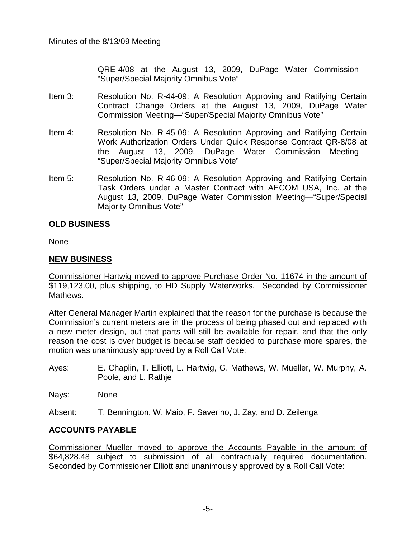QRE-4/08 at the August 13, 2009, DuPage Water Commission— "Super/Special Majority Omnibus Vote"

- Item 3: Resolution No. R-44-09: A Resolution Approving and Ratifying Certain Contract Change Orders at the August 13, 2009, DuPage Water Commission Meeting—"Super/Special Majority Omnibus Vote"
- Item 4: Resolution No. R-45-09: A Resolution Approving and Ratifying Certain Work Authorization Orders Under Quick Response Contract QR-8/08 at the August 13, 2009, DuPage Water Commission Meeting— "Super/Special Majority Omnibus Vote"
- Item 5: Resolution No. R-46-09: A Resolution Approving and Ratifying Certain Task Orders under a Master Contract with AECOM USA, Inc. at the August 13, 2009, DuPage Water Commission Meeting—"Super/Special Majority Omnibus Vote"

## **OLD BUSINESS**

None

## **NEW BUSINESS**

Commissioner Hartwig moved to approve Purchase Order No. 11674 in the amount of \$119,123.00, plus shipping, to HD Supply Waterworks. Seconded by Commissioner Mathews.

After General Manager Martin explained that the reason for the purchase is because the Commission's current meters are in the process of being phased out and replaced with a new meter design, but that parts will still be available for repair, and that the only reason the cost is over budget is because staff decided to purchase more spares, the motion was unanimously approved by a Roll Call Vote:

- Ayes: E. Chaplin, T. Elliott, L. Hartwig, G. Mathews, W. Mueller, W. Murphy, A. Poole, and L. Rathje
- Nays: None
- Absent: T. Bennington, W. Maio, F. Saverino, J. Zay, and D. Zeilenga

# **ACCOUNTS PAYABLE**

Commissioner Mueller moved to approve the Accounts Payable in the amount of \$64,828.48 subject to submission of all contractually required documentation. Seconded by Commissioner Elliott and unanimously approved by a Roll Call Vote: